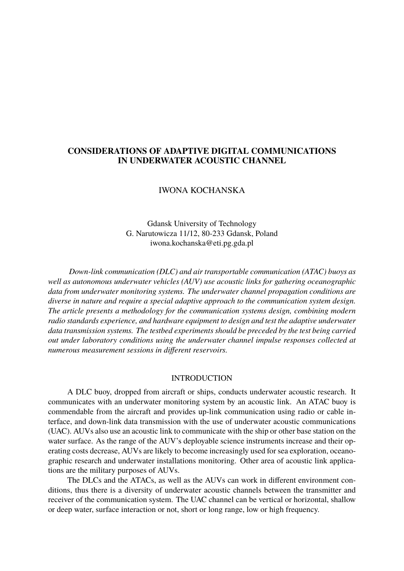# **CONSIDERATIONS OF ADAPTIVE DIGITAL COMMUNICATIONS IN UNDERWATER ACOUSTIC CHANNEL**

# IWONA KOCHANSKA

Gdansk University of Technology G. Narutowicza 11/12, 80-233 Gdansk, Poland iwona.kochanska@eti.pg.gda.pl

*Down-link communication (DLC) and air transportable communication (ATAC) buoys as well as autonomous underwater vehicles (AUV) use acoustic links for gathering oceanographic data from underwater monitoring systems. The underwater channel propagation conditions are diverse in nature and require a special adaptive approach to the communication system design. The article presents a methodology for the communication systems design, combining modern radio standards experience, and hardware equipment to design and test the adaptive underwater data transmission systems. The testbed experiments should be preceded by the test being carried out under laboratory conditions using the underwater channel impulse responses collected at numerous measurement sessions in different reservoirs.*

#### INTRODUCTION

A DLC buoy, dropped from aircraft or ships, conducts underwater acoustic research. It communicates with an underwater monitoring system by an acoustic link. An ATAC buoy is commendable from the aircraft and provides up-link communication using radio or cable interface, and down-link data transmission with the use of underwater acoustic communications (UAC). AUVs also use an acoustic link to communicate with the ship or other base station on the water surface. As the range of the AUV's deployable science instruments increase and their operating costs decrease, AUVs are likely to become increasingly used for sea exploration, oceanographic research and underwater installations monitoring. Other area of acoustic link applications are the military purposes of AUVs.

The DLCs and the ATACs, as well as the AUVs can work in different environment conditions, thus there is a diversity of underwater acoustic channels between the transmitter and receiver of the communication system. The UAC channel can be vertical or horizontal, shallow or deep water, surface interaction or not, short or long range, low or high frequency.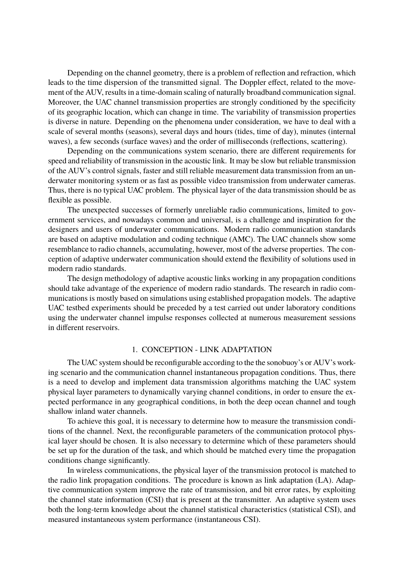Depending on the channel geometry, there is a problem of reflection and refraction, which leads to the time dispersion of the transmitted signal. The Doppler effect, related to the movement of the AUV, results in a time-domain scaling of naturally broadband communication signal. Moreover, the UAC channel transmission properties are strongly conditioned by the specificity of its geographic location, which can change in time. The variability of transmission properties is diverse in nature. Depending on the phenomena under consideration, we have to deal with a scale of several months (seasons), several days and hours (tides, time of day), minutes (internal waves), a few seconds (surface waves) and the order of milliseconds (reflections, scattering).

Depending on the communications system scenario, there are different requirements for speed and reliability of transmission in the acoustic link. It may be slow but reliable transmission of the AUV's control signals, faster and still reliable measurement data transmission from an underwater monitoring system or as fast as possible video transmission from underwater cameras. Thus, there is no typical UAC problem. The physical layer of the data transmission should be as flexible as possible.

The unexpected successes of formerly unreliable radio communications, limited to government services, and nowadays common and universal, is a challenge and inspiration for the designers and users of underwater communications. Modern radio communication standards are based on adaptive modulation and coding technique (AMC). The UAC channels show some resemblance to radio channels, accumulating, however, most of the adverse properties. The conception of adaptive underwater communication should extend the flexibility of solutions used in modern radio standards.

The design methodology of adaptive acoustic links working in any propagation conditions should take advantage of the experience of modern radio standards. The research in radio communications is mostly based on simulations using established propagation models. The adaptive UAC testbed experiments should be preceded by a test carried out under laboratory conditions using the underwater channel impulse responses collected at numerous measurement sessions in different reservoirs.

### 1. CONCEPTION - LINK ADAPTATION

The UAC system should be reconfigurable according to the the sonobuoy's or AUV's working scenario and the communication channel instantaneous propagation conditions. Thus, there is a need to develop and implement data transmission algorithms matching the UAC system physical layer parameters to dynamically varying channel conditions, in order to ensure the expected performance in any geographical conditions, in both the deep ocean channel and tough shallow inland water channels.

To achieve this goal, it is necessary to determine how to measure the transmission conditions of the channel. Next, the reconfigurable parameters of the communication protocol physical layer should be chosen. It is also necessary to determine which of these parameters should be set up for the duration of the task, and which should be matched every time the propagation conditions change significantly.

In wireless communications, the physical layer of the transmission protocol is matched to the radio link propagation conditions. The procedure is known as link adaptation (LA). Adaptive communication system improve the rate of transmission, and bit error rates, by exploiting the channel state information (CSI) that is present at the transmitter. An adaptive system uses both the long-term knowledge about the channel statistical characteristics (statistical CSI), and measured instantaneous system performance (instantaneous CSI).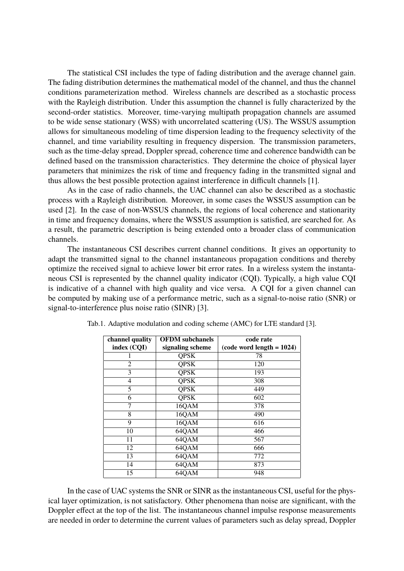The statistical CSI includes the type of fading distribution and the average channel gain. The fading distribution determines the mathematical model of the channel, and thus the channel conditions parameterization method. Wireless channels are described as a stochastic process with the Rayleigh distribution. Under this assumption the channel is fully characterized by the second-order statistics. Moreover, time-varying multipath propagation channels are assumed to be wide sense stationary (WSS) with uncorrelated scattering (US). The WSSUS assumption allows for simultaneous modeling of time dispersion leading to the frequency selectivity of the channel, and time variability resulting in frequency dispersion. The transmission parameters, such as the time-delay spread, Doppler spread, coherence time and coherence bandwidth can be defined based on the transmission characteristics. They determine the choice of physical layer parameters that minimizes the risk of time and frequency fading in the transmitted signal and thus allows the best possible protection against interference in difficult channels [1].

As in the case of radio channels, the UAC channel can also be described as a stochastic process with a Rayleigh distribution. Moreover, in some cases the WSSUS assumption can be used [2]. In the case of non-WSSUS channels, the regions of local coherence and stationarity in time and frequency domains, where the WSSUS assumption is satisfied, are searched for. As a result, the parametric description is being extended onto a broader class of communication channels.

The instantaneous CSI describes current channel conditions. It gives an opportunity to adapt the transmitted signal to the channel instantaneous propagation conditions and thereby optimize the received signal to achieve lower bit error rates. In a wireless system the instantaneous CSI is represented by the channel quality indicator (CQI). Typically, a high value CQI is indicative of a channel with high quality and vice versa. A CQI for a given channel can be computed by making use of a performance metric, such as a signal-to-noise ratio (SNR) or signal-to-interference plus noise ratio (SINR) [3].

| channel quality | <b>OFDM</b> subchanels | code rate                   |
|-----------------|------------------------|-----------------------------|
| index (CQI)     | signaling scheme       | $(code word length = 1024)$ |
|                 | <b>QPSK</b>            | 78                          |
| $\overline{2}$  | <b>QPSK</b>            | 120                         |
| 3               | <b>QPSK</b>            | 193                         |
| 4               | <b>QPSK</b>            | 308                         |
| 5               | <b>QPSK</b>            | 449                         |
| 6               | <b>QPSK</b>            | 602                         |
| 7               | 16QAM                  | 378                         |
| 8               | 16QAM                  | 490                         |
| 9               | 16QAM                  | 616                         |
| 10              | 64QAM                  | 466                         |
| 11              | 64QAM                  | 567                         |
| 12              | 64QAM                  | 666                         |
| 13              | 64QAM                  | 772                         |
| 14              | 64QAM                  | 873                         |
| 15              | 64QAM                  | 948                         |

Tab.1. Adaptive modulation and coding scheme (AMC) for LTE standard [3].

In the case of UAC systems the SNR or SINR as the instantaneous CSI, useful for the physical layer optimization, is not satisfactory. Other phenomena than noise are significant, with the Doppler effect at the top of the list. The instantaneous channel impulse response measurements are needed in order to determine the current values of parameters such as delay spread, Doppler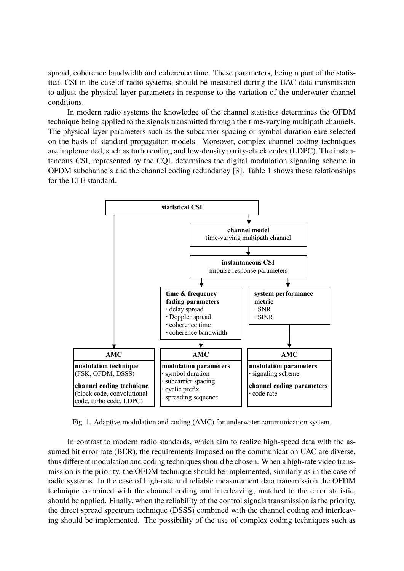spread, coherence bandwidth and coherence time. These parameters, being a part of the statistical CSI in the case of radio systems, should be measured during the UAC data transmission to adjust the physical layer parameters in response to the variation of the underwater channel conditions.

In modern radio systems the knowledge of the channel statistics determines the OFDM technique being applied to the signals transmitted through the time-varying multipath channels. The physical layer parameters such as the subcarrier spacing or symbol duration eare selected on the basis of standard propagation models. Moreover, complex channel coding techniques are implemented, such as turbo coding and low-density parity-check codes (LDPC). The instantaneous CSI, represented by the CQI, determines the digital modulation signaling scheme in OFDM subchannels and the channel coding redundancy [3]. Table 1 shows these relationships for the LTE standard.



Fig. 1. Adaptive modulation and coding (AMC) for underwater communication system.

In contrast to modern radio standards, which aim to realize high-speed data with the assumed bit error rate (BER), the requirements imposed on the communication UAC are diverse, thus different modulation and coding techniques should be chosen. When a high-rate video transmission is the priority, the OFDM technique should be implemented, similarly as in the case of radio systems. In the case of high-rate and reliable measurement data transmission the OFDM technique combined with the channel coding and interleaving, matched to the error statistic, should be applied. Finally, when the reliability of the control signals transmission is the priority, the direct spread spectrum technique (DSSS) combined with the channel coding and interleaving should be implemented. The possibility of the use of complex coding techniques such as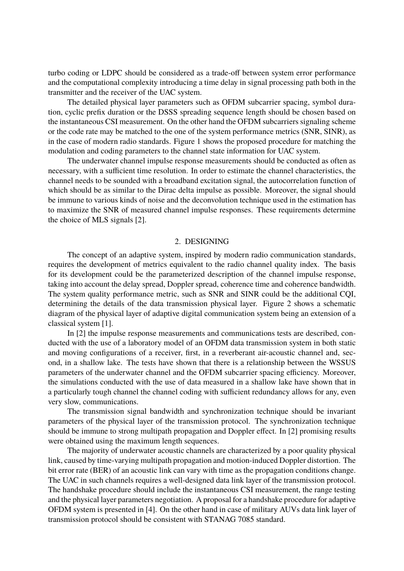turbo coding or LDPC should be considered as a trade-off between system error performance and the computational complexity introducing a time delay in signal processing path both in the transmitter and the receiver of the UAC system.

The detailed physical layer parameters such as OFDM subcarrier spacing, symbol duration, cyclic prefix duration or the DSSS spreading sequence length should be chosen based on the instantaneous CSI measurement. On the other hand the OFDM subcarriers signaling scheme or the code rate may be matched to the one of the system performance metrics (SNR, SINR), as in the case of modern radio standards. Figure 1 shows the proposed procedure for matching the modulation and coding parameters to the channel state information for UAC system.

The underwater channel impulse response measurements should be conducted as often as necessary, with a sufficient time resolution. In order to estimate the channel characteristics, the channel needs to be sounded with a broadband excitation signal, the autocorrelation function of which should be as similar to the Dirac delta impulse as possible. Moreover, the signal should be immune to various kinds of noise and the deconvolution technique used in the estimation has to maximize the SNR of measured channel impulse responses. These requirements determine the choice of MLS signals [2].

### 2. DESIGNING

The concept of an adaptive system, inspired by modern radio communication standards, requires the development of metrics equivalent to the radio channel quality index. The basis for its development could be the parameterized description of the channel impulse response, taking into account the delay spread, Doppler spread, coherence time and coherence bandwidth. The system quality performance metric, such as SNR and SINR could be the additional CQI, determining the details of the data transmission physical layer. Figure 2 shows a schematic diagram of the physical layer of adaptive digital communication system being an extension of a classical system [1].

In [2] the impulse response measurements and communications tests are described, conducted with the use of a laboratory model of an OFDM data transmission system in both static and moving configurations of a receiver, first, in a reverberant air-acoustic channel and, second, in a shallow lake. The tests have shown that there is a relationship between the WSSUS parameters of the underwater channel and the OFDM subcarrier spacing efficiency. Moreover, the simulations conducted with the use of data measured in a shallow lake have shown that in a particularly tough channel the channel coding with sufficient redundancy allows for any, even very slow, communications.

The transmission signal bandwidth and synchronization technique should be invariant parameters of the physical layer of the transmission protocol. The synchronization technique should be immune to strong multipath propagation and Doppler effect. In [2] promising results were obtained using the maximum length sequences.

The majority of underwater acoustic channels are characterized by a poor quality physical link, caused by time-varying multipath propagation and motion-induced Doppler distortion. The bit error rate (BER) of an acoustic link can vary with time as the propagation conditions change. The UAC in such channels requires a well-designed data link layer of the transmission protocol. The handshake procedure should include the instantaneous CSI measurement, the range testing and the physical layer parameters negotiation. A proposal for a handshake procedure for adaptive OFDM system is presented in [4]. On the other hand in case of military AUVs data link layer of transmission protocol should be consistent with STANAG 7085 standard.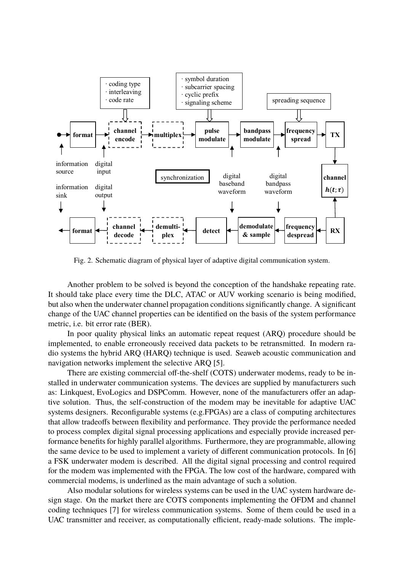

Fig. 2. Schematic diagram of physical layer of adaptive digital communication system.

Another problem to be solved is beyond the conception of the handshake repeating rate. It should take place every time the DLC, ATAC or AUV working scenario is being modified, but also when the underwater channel propagation conditions significantly change. A significant change of the UAC channel properties can be identified on the basis of the system performance metric, i.e. bit error rate (BER).

In poor quality physical links an automatic repeat request (ARQ) procedure should be implemented, to enable erroneously received data packets to be retransmitted. In modern radio systems the hybrid ARQ (HARQ) technique is used. Seaweb acoustic communication and navigation networks implement the selective ARQ [5].

There are existing commercial off-the-shelf (COTS) underwater modems, ready to be installed in underwater communication systems. The devices are supplied by manufacturers such as: Linkquest, EvoLogics and DSPComm. However, none of the manufacturers offer an adaptive solution. Thus, the self-construction of the modem may be inevitable for adaptive UAC systems designers. Reconfigurable systems (e.g.FPGAs) are a class of computing architectures that allow tradeoffs between flexibility and performance. They provide the performance needed to process complex digital signal processing applications and especially provide increased performance benefits for highly parallel algorithms. Furthermore, they are programmable, allowing the same device to be used to implement a variety of different communication protocols. In [6] a FSK underwater modem is described. All the digital signal processing and control required for the modem was implemented with the FPGA. The low cost of the hardware, compared with commercial modems, is underlined as the main advantage of such a solution.

Also modular solutions for wireless systems can be used in the UAC system hardware design stage. On the market there are COTS components implementing the OFDM and channel coding techniques [7] for wireless communication systems. Some of them could be used in a UAC transmitter and receiver, as computationally efficient, ready-made solutions. The imple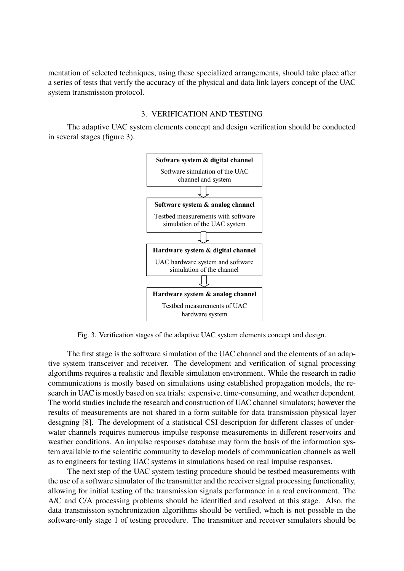mentation of selected techniques, using these specialized arrangements, should take place after a series of tests that verify the accuracy of the physical and data link layers concept of the UAC system transmission protocol.

### 3. VERIFICATION AND TESTING

The adaptive UAC system elements concept and design verification should be conducted in several stages (figure 3).



Fig. 3. Verification stages of the adaptive UAC system elements concept and design.

The first stage is the software simulation of the UAC channel and the elements of an adaptive system transceiver and receiver. The development and verification of signal processing algorithms requires a realistic and flexible simulation environment. While the research in radio communications is mostly based on simulations using established propagation models, the research in UAC is mostly based on sea trials: expensive, time-consuming, and weather dependent. The world studies include the research and construction of UAC channel simulators; however the results of measurements are not shared in a form suitable for data transmission physical layer designing [8]. The development of a statistical CSI description for different classes of underwater channels requires numerous impulse response measurements in different reservoirs and weather conditions. An impulse responses database may form the basis of the information system available to the scientific community to develop models of communication channels as well as to engineers for testing UAC systems in simulations based on real impulse responses.

The next step of the UAC system testing procedure should be testbed measurements with the use of a software simulator of the transmitter and the receiver signal processing functionality, allowing for initial testing of the transmission signals performance in a real environment. The A/C and C/A processing problems should be identified and resolved at this stage. Also, the data transmission synchronization algorithms should be verified, which is not possible in the software-only stage 1 of testing procedure. The transmitter and receiver simulators should be